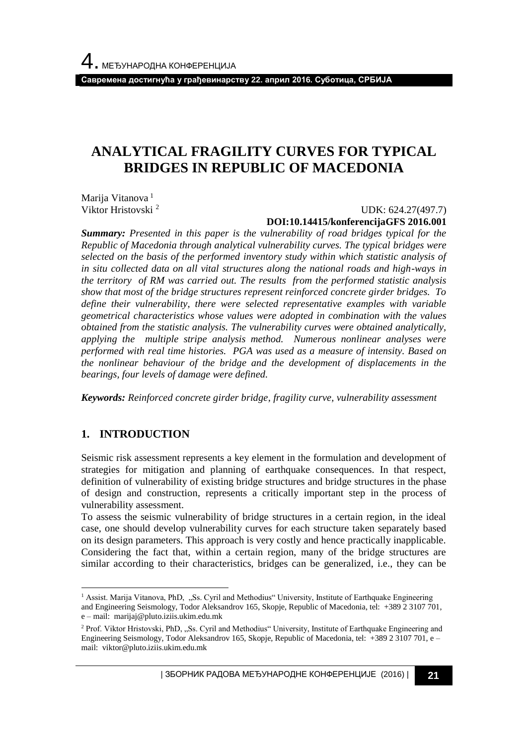**Савремена достигнућа у грађевинарству 22. април 2016. Суботица, СРБИЈА**

# **ANALYTICAL FRAGILITY CURVES FOR TYPICAL BRIDGES IN REPUBLIC OF MACEDONIA**

Marija Vitanova<sup>1</sup> Viktor Hristovski <sup>2</sup>

UDK: 624.27(497.7)

### **DOI:10.14415/konferencijaGFS 2016.001**

*Summary: Presented in this paper is the vulnerability of road bridges typical for the Republic of Macedonia through analytical vulnerability curves. The typical bridges were selected on the basis of the performed inventory study within which statistic analysis of in situ collected data on all vital structures along the national roads and high-ways in the territory of RM was carried out. The results from the performed statistic analysis show that most of the bridge structures represent reinforced concrete girder bridges. To define their vulnerability, there were selected representative examples with variable geometrical characteristics whose values were adopted in combination with the values obtained from the statistic analysis. The vulnerability curves were obtained analytically, applying the multiple stripe analysis method. Numerous nonlinear analyses were performed with real time histories. PGA was used as a measure of intensity. Based on the nonlinear behaviour of the bridge and the development of displacements in the bearings, four levels of damage were defined.* 

*Keywords: Reinforced concrete girder bridge, fragility curve, vulnerability assessment*

## **1. INTRODUCTION**

l

Seismic risk assessment represents a key element in the formulation and development of strategies for mitigation and planning of earthquake consequences. In that respect, definition of vulnerability of existing bridge structures and bridge structures in the phase of design and construction, represents a critically important step in the process of vulnerability assessment.

To assess the seismic vulnerability of bridge structures in a certain region, in the ideal case, one should develop vulnerability curves for each structure taken separately based on its design parameters. This approach is very costly and hence practically inapplicable. Considering the fact that, within a certain region, many of the bridge structures are similar according to their characteristics, bridges can be generalized, i.e., they can be

<sup>&</sup>lt;sup>1</sup> Assist. Marija Vitanova, PhD, "Ss. Cyril and Methodius" University, Institute of Earthquake Engineering and Engineering Seismology, Todor Aleksandrov 165, Skopje, Republic of Macedonia, tel: +389 2 3107 701, e – mail: marijaj@pluto.iziis.ukim.edu.mk

<sup>&</sup>lt;sup>2</sup> Prof. Viktor Hristovski, PhD, "Ss. Cyril and Methodius" University, Institute of Earthquake Engineering and Engineering Seismology, Todor Aleksandrov 165, Skopje, Republic of Macedonia, tel: +389 2 3107 701, e – mail: viktor@pluto.iziis.ukim.edu.mk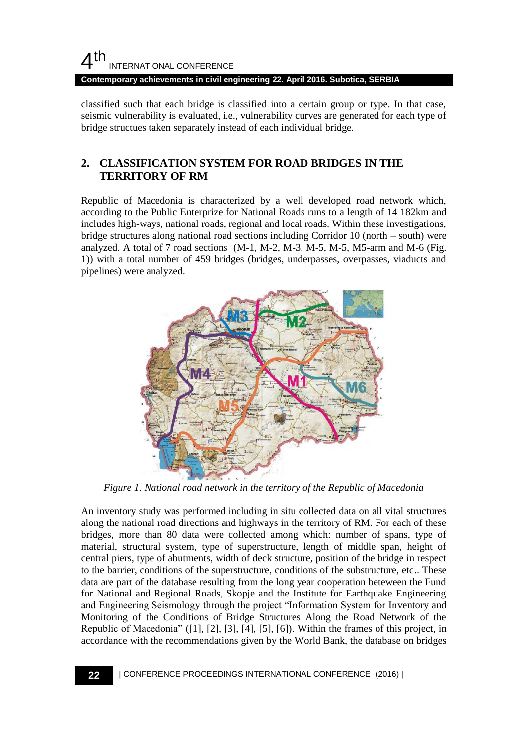**Contemporary achievements in civil engineering 22. April 2016. Subotica, SERBIA**

classified such that each bridge is classified into a certain group or type. In that case, seismic vulnerability is evaluated, i.e., vulnerability curves are generated for each type of bridge structues taken separately instead of each individual bridge.

## **2. CLASSIFICATION SYSTEM FOR ROAD BRIDGES IN THE TERRITORY OF RM**

Republic of Macedonia is characterized by a well developed road network which, according to the Public Enterprize for National Roads runs to a length of 14 182km and includes high-ways, national roads, regional and local roads. Within these investigations, bridge structures along national road sections including Corridor 10 (north – south) were analyzed. A total of 7 road sections  $(M-1, M-2, M-3, M-5, M-5, M5-arm$  and  $M-6$  (Fig. 1)) with a total number of 459 bridges (bridges, underpasses, overpasses, viaducts and pipelines) were analyzed.



*Figure 1. National road network in the territory of the Republic of Macedonia*

An inventory study was performed including in situ collected data on all vital structures along the national road directions and highways in the territory of RM. For each of these bridges, more than 80 data were collected among which: number of spans, type of material, structural system, type of superstructure, length of middle span, height of central piers, type of abutments, width of deck structure, position of the bridge in respect to the barrier, conditions of the superstructure, conditions of the substructure, etc.. These data are part of the database resulting from the long year cooperation beteween the Fund for National and Regional Roads, Skopje and the Institute for Earthquake Engineering and Engineering Seismology through the project "Information System for Inventory and Monitoring of the Conditions of Bridge Structures Along the Road Network of the Republic of Macedonia" ([1], [2], [3], [4], [5], [6]). Within the frames of this project, in accordance with the recommendations given by the World Bank, the database on bridges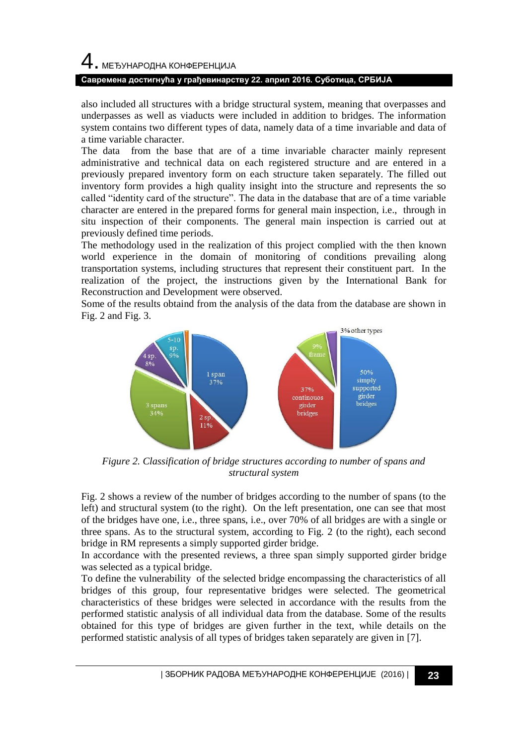# 4. МЕЂУНАРОДНА КОНФЕРЕНЦИЈА

### **Савремена достигнућа у грађевинарству 22. април 2016. Суботица, СРБИЈА**

also included all structures with a bridge structural system, meaning that overpasses and underpasses as well as viaducts were included in addition to bridges. The information system contains two different types of data, namely data of a time invariable and data of a time variable character.

from the base that are of a time invariable character mainly represent administrative and technical data on each registered structure and are entered in a previously prepared inventory form on each structure taken separately. The filled out inventory form provides a high quality insight into the structure and represents the so called "identity card of the structure". The data in the database that are of a time variable character are entered in the prepared forms for general main inspection, i.e., through in situ inspection of their components. The general main inspection is carried out at previously defined time periods.

The methodology used in the realization of this project complied with the then known world experience in the domain of monitoring of conditions prevailing along transportation systems, including structures that represent their constituent part. In the realization of the project, the instructions given by the International Bank for Reconstruction and Development were observed.

Some of the results obtaind from the analysis of the data from the database are shown in Fig. 2 and Fig. 3.



*Figure 2. Classification of bridge structures according to number of spans and structural system*

Fig. 2 shows a review of the number of bridges according to the number of spans (to the left) and structural system (to the right). On the left presentation, one can see that most of the bridges have one, i.e., three spans, i.e., over 70% of all bridges are with a single or three spans. As to the structural system, according to Fig. 2 (to the right), each second bridge in RM represents a simply supported girder bridge.

In accordance with the presented reviews, a three span simply supported girder bridge was selected as a typical bridge.

To define the vulnerability of the selected bridge encompassing the characteristics of all bridges of this group, four representative bridges were selected. The geometrical characteristics of these bridges were selected in accordance with the results from the performed statistic analysis of all individual data from the database. Some of the results obtained for this type of bridges are given further in the text, while details on the performed statistic analysis of all types of bridges taken separately are given in [7].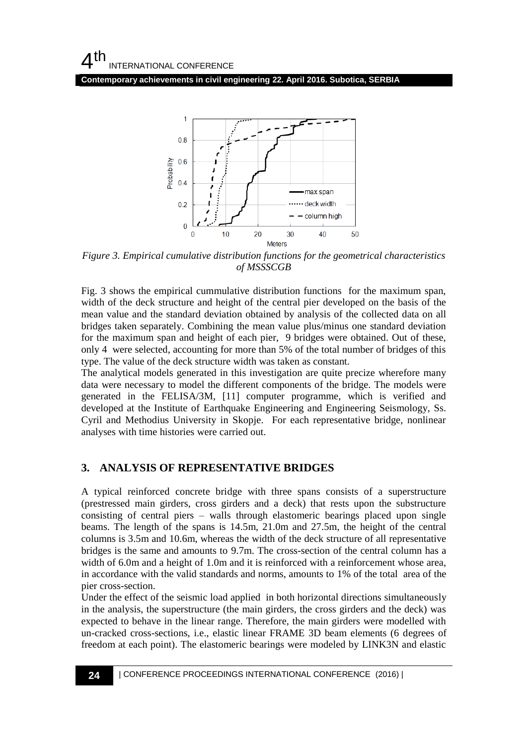**Contemporary achievements in civil engineering 22. April 2016. Subotica, SERBIA**



*Figure 3. Empirical cumulative distribution functions for the geometrical characteristics of MSSSCGB*

Fig. 3 shows the empirical cummulative distribution functions for the maximum span, width of the deck structure and height of the central pier developed on the basis of the mean value and the standard deviation obtained by analysis of the collected data on all bridges taken separately. Combining the mean value plus/minus one standard deviation for the maximum span and height of each pier, 9 bridges were obtained. Out of these, only 4 were selected, accounting for more than 5% of the total number of bridges of this type. The value of the deck structure width was taken as constant.

The analytical models generated in this investigation are quite precize wherefore many data were necessary to model the different components of the bridge. The models were generated in the FELISA/3M, [11] computer programme, which is verified and developed at the Institute of Earthquake Engineering and Engineering Seismology, Ss. Cyril and Methodius University in Skopje. For each representative bridge, nonlinear analyses with time histories were carried out.

### **3. ANALYSIS OF REPRESENTATIVE BRIDGES**

A typical reinforced concrete bridge with three spans consists of a superstructure (prestressed main girders, cross girders and a deck) that rests upon the substructure consisting of central piers – walls through elastomeric bearings placed upon single beams. The length of the spans is 14.5m, 21.0m and 27.5m, the height of the central columns is 3.5m and 10.6m, whereas the width of the deck structure of all representative bridges is the same and amounts to 9.7m. The cross-section of the central column has a width of 6.0m and a height of 1.0m and it is reinforced with a reinforcement whose area, in accordance with the valid standards and norms, amounts to 1% of the total area of the pier cross-section.

Under the effect of the seismic load applied in both horizontal directions simultaneously in the analysis, the superstructure (the main girders, the cross girders and the deck) was expected to behave in the linear range. Therefore, the main girders were modelled with un-cracked cross-sections, i.e., elastic linear FRAME 3D beam elements (6 degrees of freedom at each point). The elastomeric bearings were modeled by LINK3N and elastic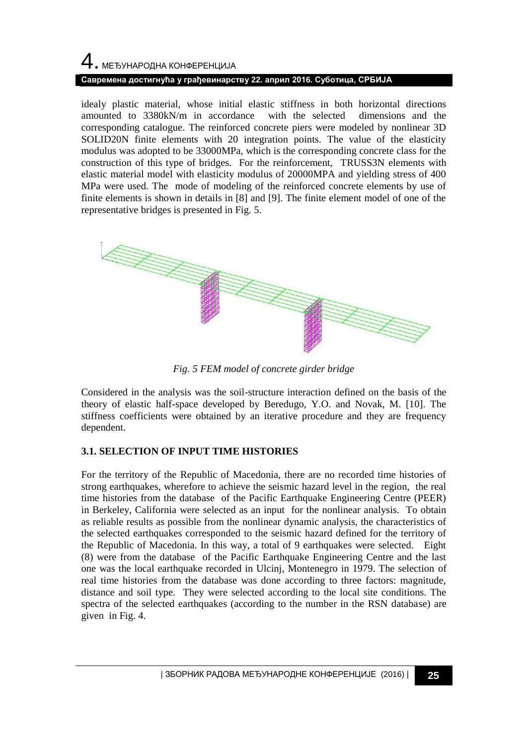# 4. МЕЂУНАРОДНА КОНФЕРЕНЦИЈА **Савремена достигнућа у грађевинарству 22. април 2016. Суботица, СРБИЈА**

idealy plastic material, whose initial elastic stiffness in both horizontal directions amounted to 3380kN/m in accordance with the selected dimensions and the corresponding catalogue. The reinforced concrete piers were modeled by nonlinear 3D SOLID20N finite elements with 20 integration points. The value of the elasticity modulus was adopted to be 33000MPa, which is the corresponding concrete class for the construction of this type of bridges. For the reinforcement, TRUSS3N elements with elastic material model with elasticity modulus of 20000MPA and yielding stress of 400 MPa were used. The mode of modeling of the reinforced concrete elements by use of finite elements is shown in details in [8] and [9]. The finite element model of one of the representative bridges is presented in Fig. 5.



*Fig. 5 FEM model of concrete girder bridge*

Considered in the analysis was the soil-structure interaction defined on the basis of the theory of elastic half-space developed by Beredugo, Y.O. and Novak, M. [10]. The stiffness coefficients were obtained by an iterative procedure and they are frequency dependent.

### **3.1. SELECTION OF INPUT TIME HISTORIES**

For the territory of the Republic of Macedonia, there are no recorded time histories of strong earthquakes, wherefore to achieve the seismic hazard level in the region, the real time histories from the database of the Pacific Earthquake Engineering Centre (PEER) in Berkeley, California were selected as an input for the nonlinear analysis. To obtain as reliable results as possible from the nonlinear dynamic analysis, the characteristics of the selected earthquakes corresponded to the seismic hazard defined for the territory of the Republic of Macedonia. In this way, a total of 9 earthquakes were selected. Eight (8) were from the database of the Pacific Earthquake Engineering Centre and the last one was the local earthquake recorded in Ulcinj, Montenegro in 1979. The selection of real time histories from the database was done according to three factors: magnitude, distance and soil type. They were selected according to the local site conditions. The spectra of the selected earthquakes (according to the number in the RSN database) are given in Fig. 4.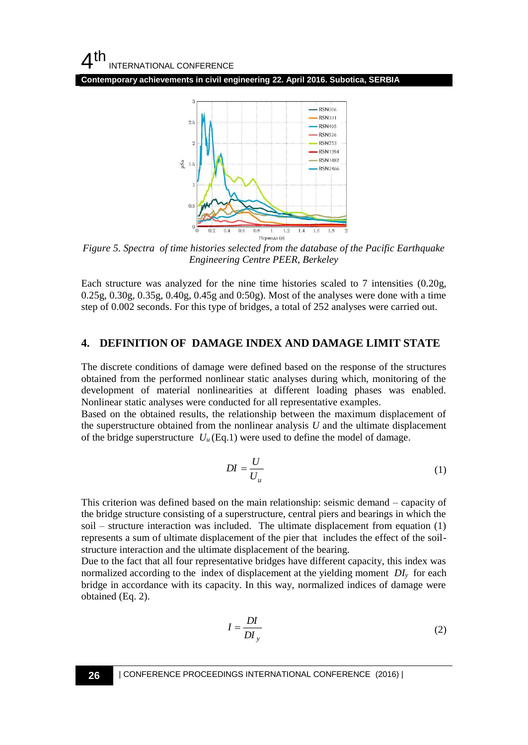

*Figure 5. Spectra of time histories selected from the database of the Pacific Earthquake Engineering Centre PEER, Berkeley*

Each structure was analyzed for the nine time histories scaled to 7 intensities (0.20g, 0.25g, 0.30g, 0.35g, 0.40g, 0.45g and 0:50g). Most of the analyses were done with a time step of 0.002 seconds. For this type of bridges, a total of 252 analyses were carried out.

### **4. DEFINITION OF DAMAGE INDEX AND DAMAGE LIMIT STATE**

The discrete conditions of damage were defined based on the response of the structures obtained from the performed nonlinear static analyses during which, monitoring of the development of material nonlinearities at different loading phases was enabled. Nonlinear static analyses were conducted for all representative examples.

Based on the obtained results, the relationship between the maximum displacement of the superstructure obtained from the nonlinear analysis *U* and the ultimate displacement of the bridge superstructure  $U_u$  (Eq.1) were used to define the model of damage.

$$
DI = \frac{U}{U_u} \tag{1}
$$

This criterion was defined based on the main relationship: seismic demand – capacity of the bridge structure consisting of a superstructure, central piers and bearings in which the soil – structure interaction was included. The ultimate displacement from equation (1) represents a sum of ultimate displacement of the pier that includes the effect of the soilstructure interaction and the ultimate displacement of the bearing.

Due to the fact that all four representative bridges have different capacity, this index was normalized according to the index of displacement at the yielding moment *DI*<sub>*y*</sub> for each bridge in accordance with its capacity. In this way, normalized indices of damage were obtained (Eq. 2).

$$
I = \frac{DI}{DI_y} \tag{2}
$$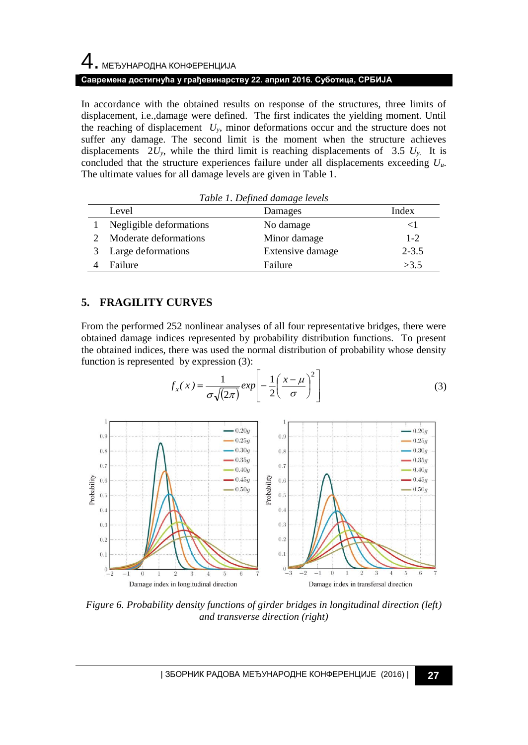# 4. МЕЂУНАРОДНА КОНФЕРЕНЦИЈА

### **Савремена достигнућа у грађевинарству 22. април 2016. Суботица, СРБИЈА**

In accordance with the obtained results on response of the structures, three limits of displacement, i.e.,damage were defined. The first indicates the yielding moment. Until the reaching of displacement  $U_y$ , minor deformations occur and the structure does not suffer any damage. The second limit is the moment when the structure achieves displacements  $2U_y$ , while the third limit is reaching displacements of  $3.5 U_y$ . It is concluded that the structure experiences failure under all displacements exceeding *Uu*. The ultimate values for all damage levels are given in Table 1.

| Table 1. Defined damage levels |                         |                  |           |  |  |  |  |  |  |
|--------------------------------|-------------------------|------------------|-----------|--|--|--|--|--|--|
|                                | Level                   | Damages          | Index     |  |  |  |  |  |  |
|                                | Negligible deformations | No damage        | $\leq$ 1  |  |  |  |  |  |  |
|                                | Moderate deformations   | Minor damage     | $1 - 2$   |  |  |  |  |  |  |
| 3                              | Large deformations      | Extensive damage | $2 - 3.5$ |  |  |  |  |  |  |
|                                | Failure                 | Failure          | >3.5      |  |  |  |  |  |  |

## **5. FRAGILITY CURVES**

From the performed 252 nonlinear analyses of all four representative bridges, there were obtained damage indices represented by probability distribution functions. To present the obtained indices, there was used the normal distribution of probability whose density function is represented by expression (3):

$$
f_x(x) = \frac{1}{\sigma \sqrt{(2\pi)}} exp\left[-\frac{1}{2}\left(\frac{x-\mu}{\sigma}\right)^2\right]
$$
 (3)



*Figure 6. Probability density functions of girder bridges in longitudinal direction (left) and transverse direction (right)*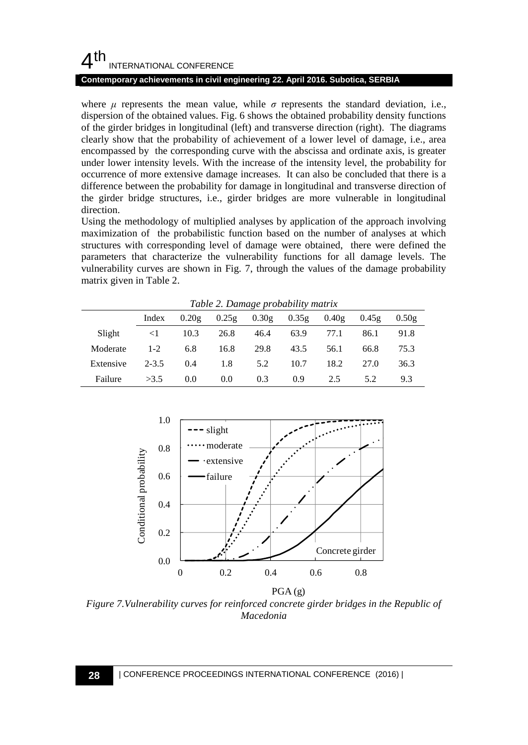### **Contemporary achievements in civil engineering 22. April 2016. Subotica, SERBIA**

where  $\mu$  represents the mean value, while  $\sigma$  represents the standard deviation, i.e., dispersion of the obtained values. Fig. 6 shows the obtained probability density functions of the girder bridges in longitudinal (left) and transverse direction (right). The diagrams clearly show that the probability of achievement of a lower level of damage, i.e., area encompassed by the corresponding curve with the abscissa and ordinate axis, is greater under lower intensity levels. With the increase of the intensity level, the probability for occurrence of more extensive damage increases. It can also be concluded that there is a difference between the probability for damage in longitudinal and transverse direction of the girder bridge structures, i.e., girder bridges are more vulnerable in longitudinal direction.

Using the methodology of multiplied analyses by application of the approach involving maximization of the probabilistic function based on the number of analyses at which structures with corresponding level of damage were obtained, there were defined the parameters that characterize the vulnerability functions for all damage levels. The vulnerability curves are shown in Fig. 7, through the values of the damage probability matrix given in Table 2.

| Table 2. Damage probability matrix |           |       |       |       |       |       |       |       |  |  |
|------------------------------------|-----------|-------|-------|-------|-------|-------|-------|-------|--|--|
|                                    | Index     | 0.20g | 0.25g | 0.30g | 0.35g | 0.40g | 0.45g | 0.50g |  |  |
| Slight                             | $\leq$ 1  | 10.3  | 26.8  | 46.4  | 63.9  | 77.1  | 86.1  | 91.8  |  |  |
| Moderate                           | $1 - 2$   | 6.8   | 16.8  | 29.8  | 43.5  | 56.1  | 66.8  | 75.3  |  |  |
| Extensive                          | $2 - 3.5$ | 0.4   | 1.8   | 5.2   | 10.7  | 18.2  | 27.0  | 36.3  |  |  |
| Failure                            | >3.5      | 0.0   | 0.0   | 0.3   | 0.9   | 2.5   | 5.2   | 9.3   |  |  |



*Figure 7.Vulnerability curves for reinforced concrete girder bridges in the Republic of Macedonia*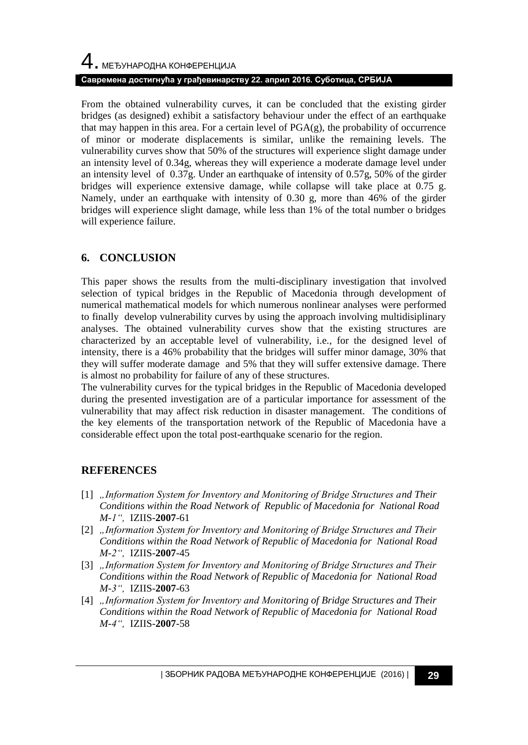# 4. МЕЂУНАРОДНА КОНФЕРЕНЦИЈА **Савремена достигнућа у грађевинарству 22. април 2016. Суботица, СРБИЈА**

From the obtained vulnerability curves, it can be concluded that the existing girder bridges (as designed) exhibit a satisfactory behaviour under the effect of an earthquake that may happen in this area. For a certain level of  $PGA(g)$ , the probability of occurrence of minor or moderate displacements is similar, unlike the remaining levels. The vulnerability curves show that 50% of the structures will experience slight damage under an intensity level of 0.34g, whereas they will experience a moderate damage level under an intensity level of 0.37g. Under an earthquake of intensity of 0.57g, 50% of the girder bridges will experience extensive damage, while collapse will take place at 0.75 g. Namely, under an earthquake with intensity of 0.30 g, more than 46% of the girder bridges will experience slight damage, while less than 1% of the total number o bridges will experience failure.

## **6. CONCLUSION**

This paper shows the results from the multi-disciplinary investigation that involved selection of typical bridges in the Republic of Macedonia through development of numerical mathematical models for which numerous nonlinear analyses were performed to finally develop vulnerability curves by using the approach involving multidisiplinary analyses. The obtained vulnerability curves show that the existing structures are characterized by an acceptable level of vulnerability, i.e., for the designed level of intensity, there is a 46% probability that the bridges will suffer minor damage, 30% that they will suffer moderate damage and 5% that they will suffer extensive damage. There is almost no probability for failure of any of these structures.

The vulnerability curves for the typical bridges in the Republic of Macedonia developed during the presented investigation are of a particular importance for assessment of the vulnerability that may affect risk reduction in disaster management. The conditions of the key elements of the transportation network of the Republic of Macedonia have a considerable effect upon the total post-earthquake scenario for the region.

## **REFERENCES**

- [1] *"Information System for Inventory and Monitoring of Bridge Structures and Their Conditions within the Road Network of Republic of Macedonia for National Road M-1",* IZIIS-**2007**-61
- [2] "Information System for Inventory and Monitoring of Bridge Structures and Their *Conditions within the Road Network of Republic of Macedonia for National Road M-2",* IZIIS-**2007**-45
- [3] *"Information System for Inventory and Monitoring of Bridge Structures and Their Conditions within the Road Network of Republic of Macedonia for National Road M-3",* IZIIS-**2007**-63
- [4] *"Information System for Inventory and Monitoring of Bridge Structures and Their Conditions within the Road Network of Republic of Macedonia for National Road M-4",* IZIIS-**2007**-58